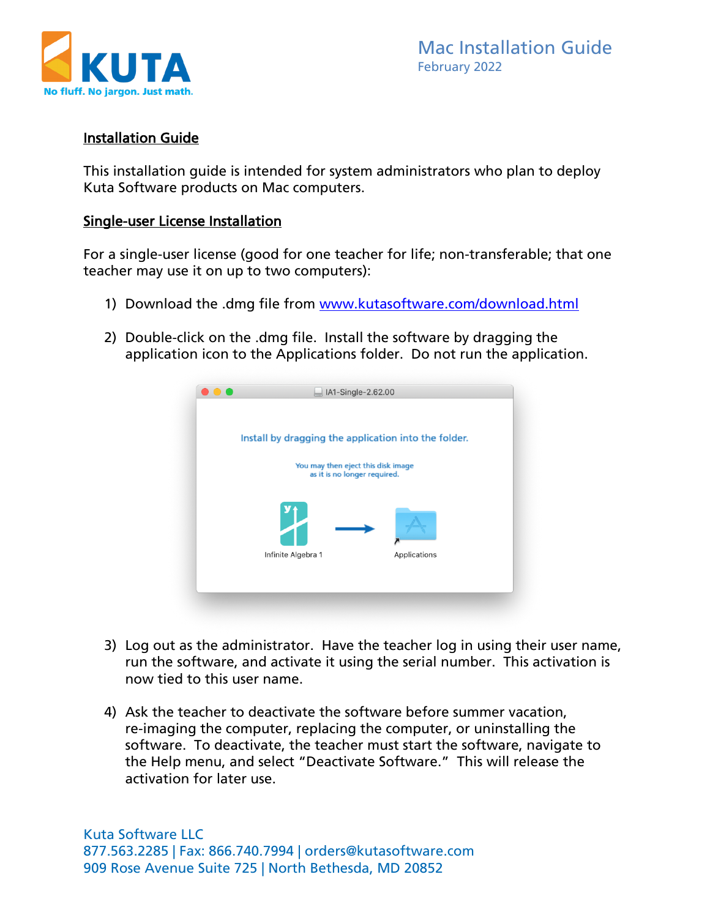

## Installation Guide

This installation guide is intended for system administrators who plan to deploy Kuta Software products on Mac computers.

### Single-user License Installation

For a single-user license (good for one teacher for life; non-transferable; that one teacher may use it on up to two computers):

- 1) Download the .dmg file from [www.kutasoftware.com/download.html](https://www.kutasoftware.com/download.html)
- 2) Double-click on the .dmg file. Install the software by dragging the application icon to the Applications folder. Do not run the application.



- 3) Log out as the administrator. Have the teacher log in using their user name, run the software, and activate it using the serial number. This activation is now tied to this user name.
- 4) Ask the teacher to deactivate the software before summer vacation, re-imaging the computer, replacing the computer, or uninstalling the software. To deactivate, the teacher must start the software, navigate to the Help menu, and select "Deactivate Software." This will release the activation for later use.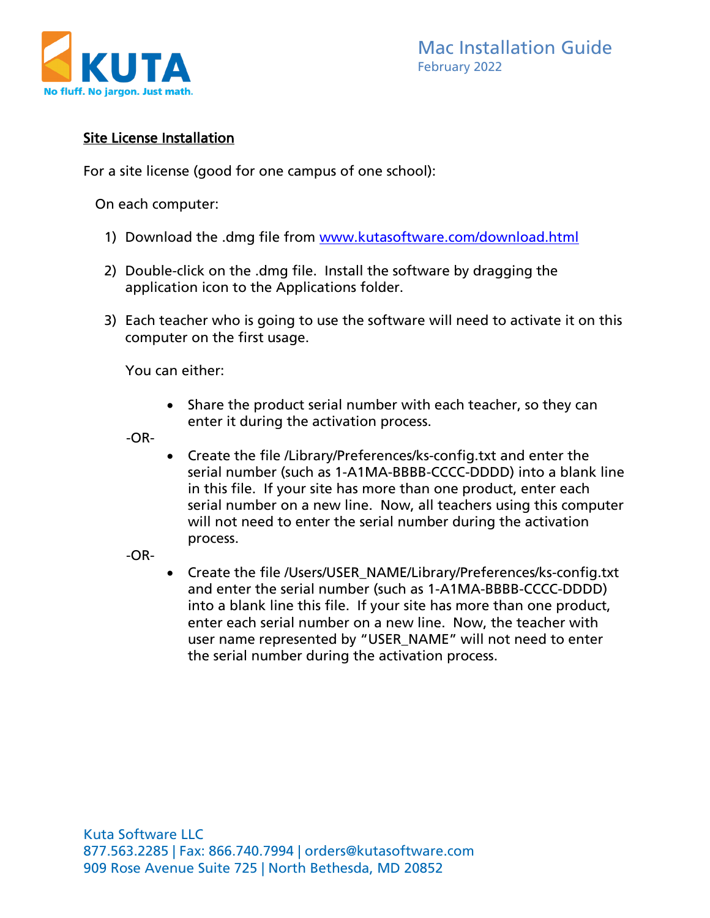

# Site License Installation

For a site license (good for one campus of one school):

On each computer:

- 1) Download the .dmg file from [www.kutasoftware.com/download.html](https://www.kutasoftware.com/download.html)
- 2) Double-click on the .dmg file. Install the software by dragging the application icon to the Applications folder.
- 3) Each teacher who is going to use the software will need to activate it on this computer on the first usage.

You can either:

• Share the product serial number with each teacher, so they can enter it during the activation process.

-OR-

• Create the file /Library/Preferences/ks-config.txt and enter the serial number (such as 1-A1MA-BBBB-CCCC-DDDD) into a blank line in this file. If your site has more than one product, enter each serial number on a new line. Now, all teachers using this computer will not need to enter the serial number during the activation process.

-OR-

• Create the file /Users/USER\_NAME/Library/Preferences/ks-config.txt and enter the serial number (such as 1-A1MA-BBBB-CCCC-DDDD) into a blank line this file. If your site has more than one product, enter each serial number on a new line. Now, the teacher with user name represented by "USER\_NAME" will not need to enter the serial number during the activation process.